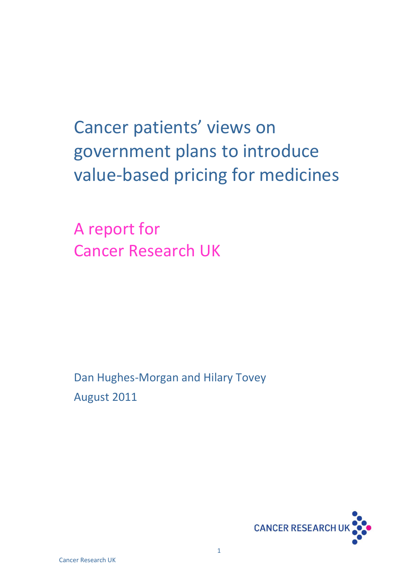Cancer patients' views on government plans to introduce value-based pricing for medicines

A report for Cancer Research UK

Dan Hughes-Morgan and Hilary Tovey August 2011

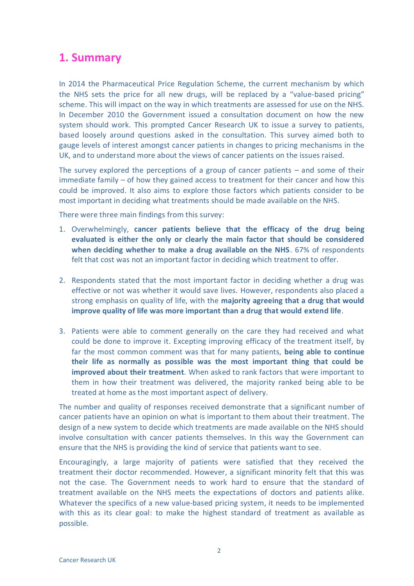## **1. Summary**

In 2014 the Pharmaceutical Price Regulation Scheme, the current mechanism by which the NHS sets the price for all new drugs, will be replaced by a "value-based pricing" scheme. This will impact on the way in which treatments are assessed for use on the NHS. In December 2010 the Government issued a consultation document on how the new system should work. This prompted Cancer Research UK to issue a survey to patients, based loosely around questions asked in the consultation. This survey aimed both to gauge levels of interest amongst cancer patients in changes to pricing mechanisms in the UK, and to understand more about the views of cancer patients on the issues raised.

The survey explored the perceptions of a group of cancer patients – and some of their immediate family – of how they gained access to treatment for their cancer and how this could be improved. It also aims to explore those factors which patients consider to be most important in deciding what treatments should be made available on the NHS.

There were three main findings from this survey:

- 1. Overwhelmingly, **cancer patients believe that the efficacy of the drug being evaluated is either the only or clearly the main factor that should be considered when deciding whether to make a drug available on the NHS**. 67% of respondents felt that cost was not an important factor in deciding which treatment to offer.
- 2. Respondents stated that the most important factor in deciding whether a drug was effective or not was whether it would save lives. However, respondents also placed a strong emphasis on quality of life, with the **majority agreeing that a drug that would improve quality of life was more important than a drug that would extend life**.
- 3. Patients were able to comment generally on the care they had received and what could be done to improve it. Excepting improving efficacy of the treatment itself, by far the most common comment was that for many patients, **being able to continue their life as normally as possible was the most important thing that could be improved about their treatment**. When asked to rank factors that were important to them in how their treatment was delivered, the majority ranked being able to be treated at home as the most important aspect of delivery.

The number and quality of responses received demonstrate that a significant number of cancer patients have an opinion on what is important to them about their treatment. The design of a new system to decide which treatments are made available on the NHS should involve consultation with cancer patients themselves. In this way the Government can ensure that the NHS is providing the kind of service that patients want to see.

Encouragingly, a large majority of patients were satisfied that they received the treatment their doctor recommended. However, a significant minority felt that this was not the case. The Government needs to work hard to ensure that the standard of treatment available on the NHS meets the expectations of doctors and patients alike. Whatever the specifics of a new value-based pricing system, it needs to be implemented with this as its clear goal: to make the highest standard of treatment as available as possible.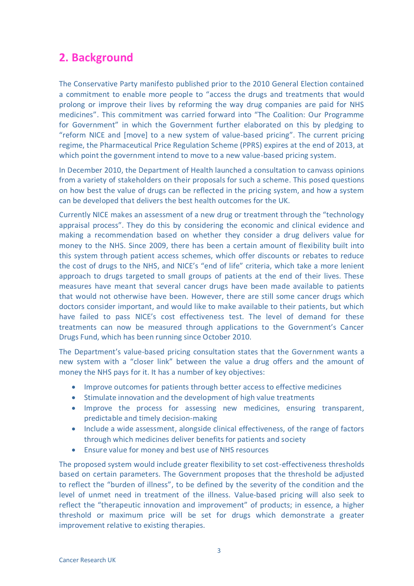# **2. Background**

The Conservative Party manifesto published prior to the 2010 General Election contained a commitment to enable more people to "access the drugs and treatments that would prolong or improve their lives by reforming the way drug companies are paid for NHS medicines". This commitment was carried forward into "The Coalition: Our Programme for Government" in which the Government further elaborated on this by pledging to "reform NICE and [move] to a new system of value-based pricing". The current pricing regime, the Pharmaceutical Price Regulation Scheme (PPRS) expires at the end of 2013, at which point the government intend to move to a new value-based pricing system.

In December 2010, the Department of Health launched a consultation to canvass opinions from a variety of stakeholders on their proposals for such a scheme. This posed questions on how best the value of drugs can be reflected in the pricing system, and how a system can be developed that delivers the best health outcomes for the UK.

Currently NICE makes an assessment of a new drug or treatment through the "technology appraisal process". They do this by considering the economic and clinical evidence and making a recommendation based on whether they consider a drug delivers value for money to the NHS. Since 2009, there has been a certain amount of flexibility built into this system through patient access schemes, which offer discounts or rebates to reduce the cost of drugs to the NHS, and NICE's "end of life" criteria, which take a more lenient approach to drugs targeted to small groups of patients at the end of their lives. These measures have meant that several cancer drugs have been made available to patients that would not otherwise have been. However, there are still some cancer drugs which doctors consider important, and would like to make available to their patients, but which have failed to pass NICE's cost effectiveness test. The level of demand for these treatments can now be measured through applications to the Government's Cancer Drugs Fund, which has been running since October 2010.

The Department's value-based pricing consultation states that the Government wants a new system with a "closer link" between the value a drug offers and the amount of money the NHS pays for it. It has a number of key objectives:

- Improve outcomes for patients through better access to effective medicines
- Stimulate innovation and the development of high value treatments
- Improve the process for assessing new medicines, ensuring transparent, predictable and timely decision-making
- Include a wide assessment, alongside clinical effectiveness, of the range of factors through which medicines deliver benefits for patients and society
- Ensure value for money and best use of NHS resources

The proposed system would include greater flexibility to set cost-effectiveness thresholds based on certain parameters. The Government proposes that the threshold be adjusted to reflect the "burden of illness", to be defined by the severity of the condition and the level of unmet need in treatment of the illness. Value-based pricing will also seek to reflect the "therapeutic innovation and improvement" of products; in essence, a higher threshold or maximum price will be set for drugs which demonstrate a greater improvement relative to existing therapies.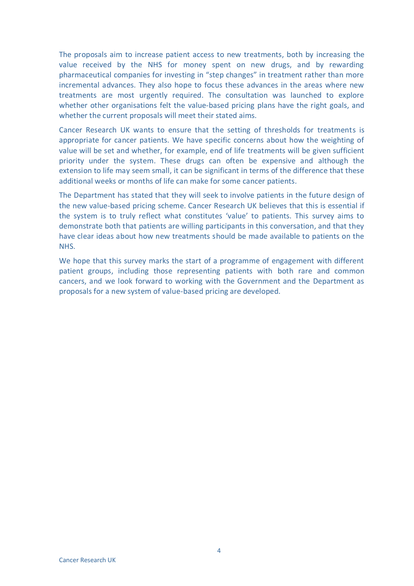The proposals aim to increase patient access to new treatments, both by increasing the value received by the NHS for money spent on new drugs, and by rewarding pharmaceutical companies for investing in "step changes" in treatment rather than more incremental advances. They also hope to focus these advances in the areas where new treatments are most urgently required. The consultation was launched to explore whether other organisations felt the value-based pricing plans have the right goals, and whether the current proposals will meet their stated aims.

Cancer Research UK wants to ensure that the setting of thresholds for treatments is appropriate for cancer patients. We have specific concerns about how the weighting of value will be set and whether, for example, end of life treatments will be given sufficient priority under the system. These drugs can often be expensive and although the extension to life may seem small, it can be significant in terms of the difference that these additional weeks or months of life can make for some cancer patients.

The Department has stated that they will seek to involve patients in the future design of the new value-based pricing scheme. Cancer Research UK believes that this is essential if the system is to truly reflect what constitutes 'value' to patients. This survey aims to demonstrate both that patients are willing participants in this conversation, and that they have clear ideas about how new treatments should be made available to patients on the NHS.

We hope that this survey marks the start of a programme of engagement with different patient groups, including those representing patients with both rare and common cancers, and we look forward to working with the Government and the Department as proposals for a new system of value-based pricing are developed.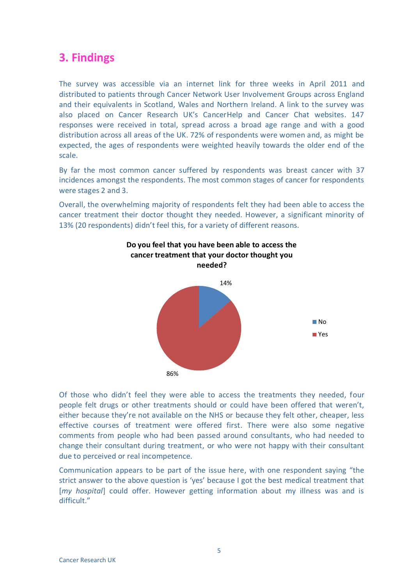# **3. Findings**

The survey was accessible via an internet link for three weeks in April 2011 and distributed to patients through Cancer Network User Involvement Groups across England and their equivalents in Scotland, Wales and Northern Ireland. A link to the survey was also placed on Cancer Research UK's CancerHelp and Cancer Chat websites. 147 responses were received in total, spread across a broad age range and with a good distribution across all areas of the UK. 72% of respondents were women and, as might be expected, the ages of respondents were weighted heavily towards the older end of the scale.

By far the most common cancer suffered by respondents was breast cancer with 37 incidences amongst the respondents. The most common stages of cancer for respondents were stages 2 and 3.

Overall, the overwhelming majority of respondents felt they had been able to access the cancer treatment their doctor thought they needed. However, a significant minority of 13% (20 respondents) didn't feel this, for a variety of different reasons.



Of those who didn't feel they were able to access the treatments they needed, four people felt drugs or other treatments should or could have been offered that weren't, either because they're not available on the NHS or because they felt other, cheaper, less effective courses of treatment were offered first. There were also some negative comments from people who had been passed around consultants, who had needed to change their consultant during treatment, or who were not happy with their consultant due to perceived or real incompetence.

Communication appears to be part of the issue here, with one respondent saying "the strict answer to the above question is 'yes' because I got the best medical treatment that [*my hospital*] could offer. However getting information about my illness was and is difficult."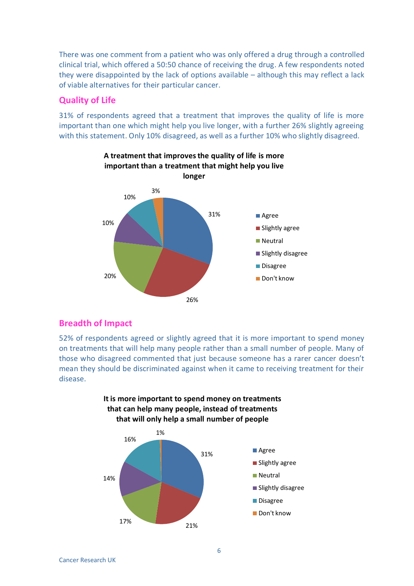There was one comment from a patient who was only offered a drug through a controlled clinical trial, which offered a 50:50 chance of receiving the drug. A few respondents noted they were disappointed by the lack of options available – although this may reflect a lack of viable alternatives for their particular cancer.

#### **Quality of Life**

31% of respondents agreed that a treatment that improves the quality of life is more important than one which might help you live longer, with a further 26% slightly agreeing with this statement. Only 10% disagreed, as well as a further 10% who slightly disagreed.



### **Breadth of Impact**

52% of respondents agreed or slightly agreed that it is more important to spend money on treatments that will help many people rather than a small number of people. Many of those who disagreed commented that just because someone has a rarer cancer doesn't mean they should be discriminated against when it came to receiving treatment for their disease.



**It is more important to spend money on treatments that can help many people, instead of treatments that will only help a small number of people**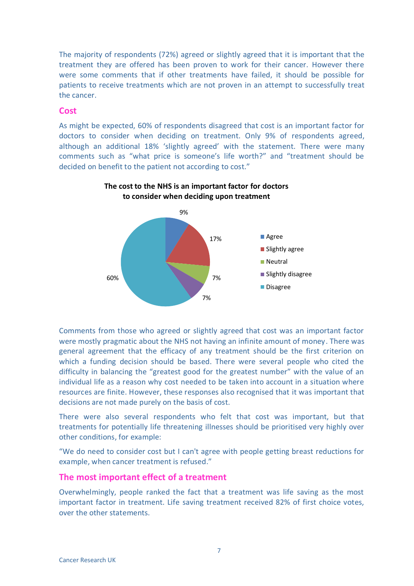The majority of respondents (72%) agreed or slightly agreed that it is important that the treatment they are offered has been proven to work for their cancer. However there were some comments that if other treatments have failed, it should be possible for patients to receive treatments which are not proven in an attempt to successfully treat the cancer.

#### **Cost**

As might be expected, 60% of respondents disagreed that cost is an important factor for doctors to consider when deciding on treatment. Only 9% of respondents agreed, although an additional 18% 'slightly agreed' with the statement. There were many comments such as "what price is someone's life worth?" and "treatment should be decided on benefit to the patient not according to cost."



**The cost to the NHS is an important factor for doctors to consider when deciding upon treatment**

Comments from those who agreed or slightly agreed that cost was an important factor were mostly pragmatic about the NHS not having an infinite amount of money. There was general agreement that the efficacy of any treatment should be the first criterion on which a funding decision should be based. There were several people who cited the difficulty in balancing the "greatest good for the greatest number" with the value of an individual life as a reason why cost needed to be taken into account in a situation where resources are finite. However, these responses also recognised that it was important that decisions are not made purely on the basis of cost.

There were also several respondents who felt that cost was important, but that treatments for potentially life threatening illnesses should be prioritised very highly over other conditions, for example:

"We do need to consider cost but I can't agree with people getting breast reductions for example, when cancer treatment is refused."

#### **The most important effect of a treatment**

Overwhelmingly, people ranked the fact that a treatment was life saving as the most important factor in treatment. Life saving treatment received 82% of first choice votes, over the other statements.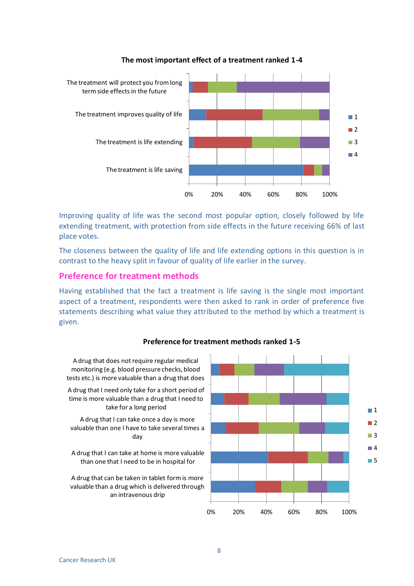

#### **The most important effect of a treatment ranked 1-4**

Improving quality of life was the second most popular option, closely followed by life extending treatment, with protection from side effects in the future receiving 66% of last place votes.

The closeness between the quality of life and life extending options in this question is in contrast to the heavy split in favour of quality of life earlier in the survey.

### **Preference for treatment methods**

Having established that the fact a treatment is life saving is the single most important aspect of a treatment, respondents were then asked to rank in order of preference five statements describing what value they attributed to the method by which a treatment is given.



#### **Preference for treatment methods ranked 1-5**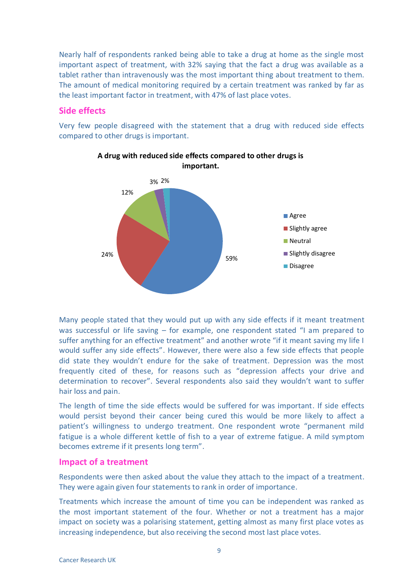Nearly half of respondents ranked being able to take a drug at home as the single most important aspect of treatment, with 32% saying that the fact a drug was available as a tablet rather than intravenously was the most important thing about treatment to them. The amount of medical monitoring required by a certain treatment was ranked by far as the least important factor in treatment, with 47% of last place votes.

#### **Side effects**

Very few people disagreed with the statement that a drug with reduced side effects compared to other drugs is important.



**A drug with reduced side effects compared to other drugs is important.** 

Many people stated that they would put up with any side effects if it meant treatment was successful or life saving – for example, one respondent stated "I am prepared to suffer anything for an effective treatment" and another wrote "if it meant saving my life I would suffer any side effects". However, there were also a few side effects that people did state they wouldn't endure for the sake of treatment. Depression was the most frequently cited of these, for reasons such as "depression affects your drive and determination to recover". Several respondents also said they wouldn't want to suffer hair loss and pain.

The length of time the side effects would be suffered for was important. If side effects would persist beyond their cancer being cured this would be more likely to affect a patient's willingness to undergo treatment. One respondent wrote "permanent mild fatigue is a whole different kettle of fish to a year of extreme fatigue. A mild symptom becomes extreme if it presents long term".

#### **Impact of a treatment**

Respondents were then asked about the value they attach to the impact of a treatment. They were again given four statements to rank in order of importance.

Treatments which increase the amount of time you can be independent was ranked as the most important statement of the four. Whether or not a treatment has a major impact on society was a polarising statement, getting almost as many first place votes as increasing independence, but also receiving the second most last place votes.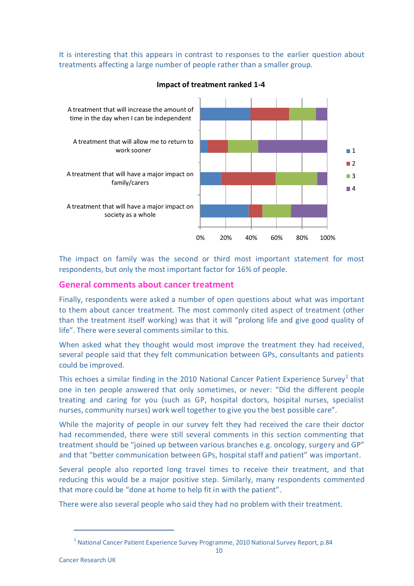It is interesting that this appears in contrast to responses to the earlier question about treatments affecting a large number of people rather than a smaller group.



**Impact of treatment ranked 1-4**

The impact on family was the second or third most important statement for most respondents, but only the most important factor for 16% of people.

#### **General comments about cancer treatment**

Finally, respondents were asked a number of open questions about what was important to them about cancer treatment. The most commonly cited aspect of treatment (other than the treatment itself working) was that it will "prolong life and give good quality of life". There were several comments similar to this.

When asked what they thought would most improve the treatment they had received, several people said that they felt communication between GPs, consultants and patients could be improved.

This echoes a similar finding in the 2010 National Cancer Patient Experience Survey<sup>1</sup> that one in ten people answered that only sometimes, or never: "Did the different people treating and caring for you (such as GP, hospital doctors, hospital nurses, specialist nurses, community nurses) work well together to give you the best possible care".

While the majority of people in our survey felt they had received the care their doctor had recommended, there were still several comments in this section commenting that treatment should be "joined up between various branches e.g. oncology, surgery and GP" and that "better communication between GPs, hospital staff and patient" was important.

Several people also reported long travel times to receive their treatment, and that reducing this would be a major positive step. Similarly, many respondents commented that more could be "done at home to help fit in with the patient".

There were also several people who said they had no problem with their treatment.

 $\overline{a}$ 

 $^1$  National Cancer Patient Experience Survey Programme, 2010 National Survey Report, p.84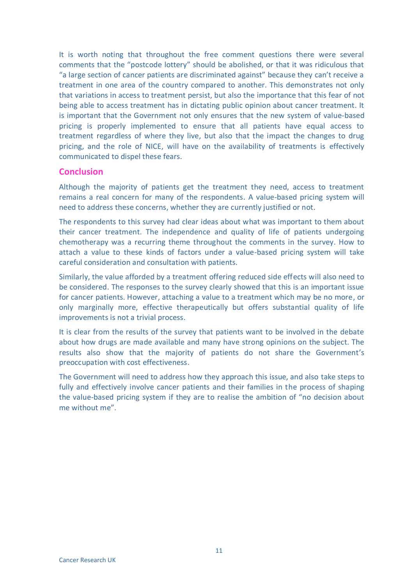It is worth noting that throughout the free comment questions there were several comments that the "postcode lottery" should be abolished, or that it was ridiculous that "a large section of cancer patients are discriminated against" because they can't receive a treatment in one area of the country compared to another. This demonstrates not only that variations in access to treatment persist, but also the importance that this fear of not being able to access treatment has in dictating public opinion about cancer treatment. It is important that the Government not only ensures that the new system of value-based pricing is properly implemented to ensure that all patients have equal access to treatment regardless of where they live, but also that the impact the changes to drug pricing, and the role of NICE, will have on the availability of treatments is effectively communicated to dispel these fears.

#### **Conclusion**

Although the majority of patients get the treatment they need, access to treatment remains a real concern for many of the respondents. A value-based pricing system will need to address these concerns, whether they are currently justified or not.

The respondents to this survey had clear ideas about what was important to them about their cancer treatment. The independence and quality of life of patients undergoing chemotherapy was a recurring theme throughout the comments in the survey. How to attach a value to these kinds of factors under a value-based pricing system will take careful consideration and consultation with patients.

Similarly, the value afforded by a treatment offering reduced side effects will also need to be considered. The responses to the survey clearly showed that this is an important issue for cancer patients. However, attaching a value to a treatment which may be no more, or only marginally more, effective therapeutically but offers substantial quality of life improvements is not a trivial process.

It is clear from the results of the survey that patients want to be involved in the debate about how drugs are made available and many have strong opinions on the subject. The results also show that the majority of patients do not share the Government's preoccupation with cost effectiveness.

The Government will need to address how they approach this issue, and also take steps to fully and effectively involve cancer patients and their families in the process of shaping the value-based pricing system if they are to realise the ambition of "no decision about me without me".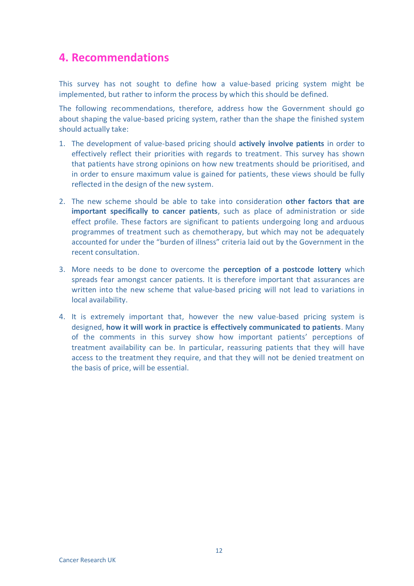# **4. Recommendations**

This survey has not sought to define how a value-based pricing system might be implemented, but rather to inform the process by which this should be defined.

The following recommendations, therefore, address how the Government should go about shaping the value-based pricing system, rather than the shape the finished system should actually take:

- 1. The development of value-based pricing should **actively involve patients** in order to effectively reflect their priorities with regards to treatment. This survey has shown that patients have strong opinions on how new treatments should be prioritised, and in order to ensure maximum value is gained for patients, these views should be fully reflected in the design of the new system.
- 2. The new scheme should be able to take into consideration **other factors that are important specifically to cancer patients**, such as place of administration or side effect profile. These factors are significant to patients undergoing long and arduous programmes of treatment such as chemotherapy, but which may not be adequately accounted for under the "burden of illness" criteria laid out by the Government in the recent consultation.
- 3. More needs to be done to overcome the **perception of a postcode lottery** which spreads fear amongst cancer patients. It is therefore important that assurances are written into the new scheme that value-based pricing will not lead to variations in local availability.
- 4. It is extremely important that, however the new value-based pricing system is designed, **how it will work in practice is effectively communicated to patients**. Many of the comments in this survey show how important patients' perceptions of treatment availability can be. In particular, reassuring patients that they will have access to the treatment they require, and that they will not be denied treatment on the basis of price, will be essential.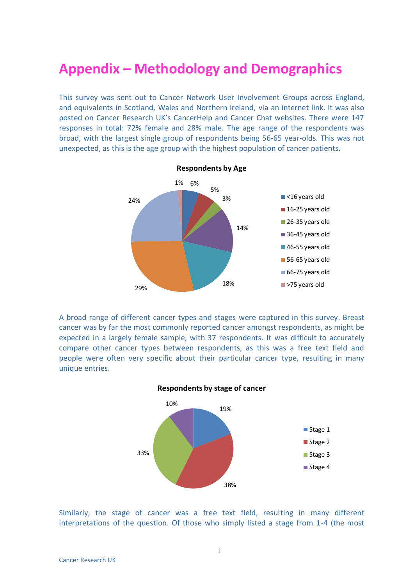# **Appendix – Methodology and Demographics**

This survey was sent out to Cancer Network User Involvement Groups across England, and equivalents in Scotland, Wales and Northern Ireland, via an internet link. It was also posted on Cancer Research UK's CancerHelp and Cancer Chat websites. There were 147 responses in total: 72% female and 28% male. The age range of the respondents was broad, with the largest single group of respondents being 56-65 year-olds. This was not unexpected, as this is the age group with the highest population of cancer patients.



A broad range of different cancer types and stages were captured in this survey. Breast cancer was by far the most commonly reported cancer amongst respondents, as might be expected in a largely female sample, with 37 respondents. It was difficult to accurately compare other cancer types between respondents, as this was a free text field and people were often very specific about their particular cancer type, resulting in many unique entries.



Similarly, the stage of cancer was a free text field, resulting in many different interpretations of the question. Of those who simply listed a stage from 1-4 (the most

#### Cancer Research UK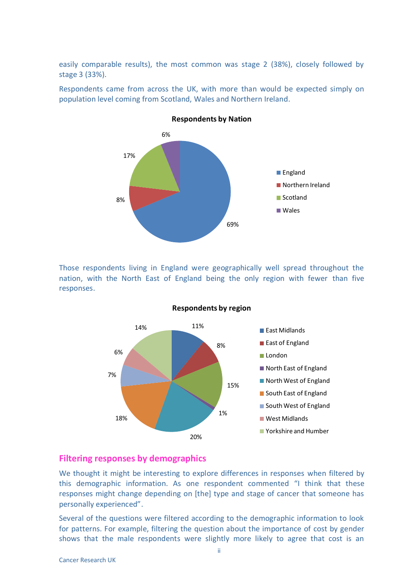easily comparable results), the most common was stage 2 (38%), closely followed by stage 3 (33%).

Respondents came from across the UK, with more than would be expected simply on population level coming from Scotland, Wales and Northern Ireland.



Those respondents living in England were geographically well spread throughout the nation, with the North East of England being the only region with fewer than five responses.



**Respondents by region**

#### **Filtering responses by demographics**

We thought it might be interesting to explore differences in responses when filtered by this demographic information. As one respondent commented "I think that these responses might change depending on [the] type and stage of cancer that someone has personally experienced".

Several of the questions were filtered according to the demographic information to look for patterns. For example, filtering the question about the importance of cost by gender shows that the male respondents were slightly more likely to agree that cost is an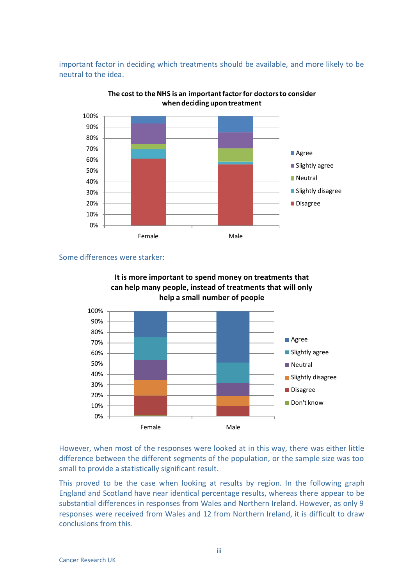important factor in deciding which treatments should be available, and more likely to be neutral to the idea.



**The cost to the NHS is an important factor for doctors to consider when deciding upon treatment**

Some differences were starker:



**It is more important to spend money on treatments that can help many people, instead of treatments that will only help a small number of people**

However, when most of the responses were looked at in this way, there was either little difference between the different segments of the population, or the sample size was too small to provide a statistically significant result.

This proved to be the case when looking at results by region. In the following graph England and Scotland have near identical percentage results, whereas there appear to be substantial differences in responses from Wales and Northern Ireland. However, as only 9 responses were received from Wales and 12 from Northern Ireland, it is difficult to draw conclusions from this.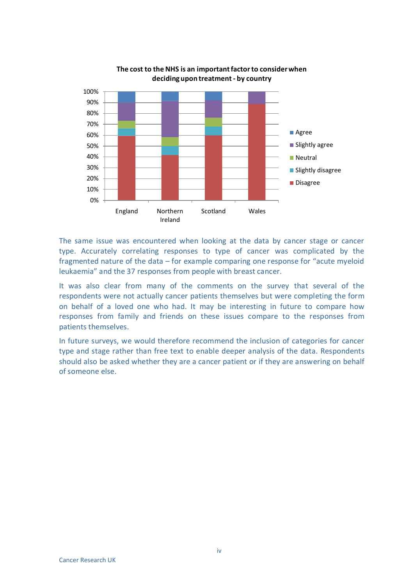

**The cost to the NHS is an important factor to consider when deciding upon treatment - by country**

The same issue was encountered when looking at the data by cancer stage or cancer type. Accurately correlating responses to type of cancer was complicated by the fragmented nature of the data – for example comparing one response for "acute myeloid leukaemia" and the 37 responses from people with breast cancer.

It was also clear from many of the comments on the survey that several of the respondents were not actually cancer patients themselves but were completing the form on behalf of a loved one who had. It may be interesting in future to compare how responses from family and friends on these issues compare to the responses from patients themselves.

In future surveys, we would therefore recommend the inclusion of categories for cancer type and stage rather than free text to enable deeper analysis of the data. Respondents should also be asked whether they are a cancer patient or if they are answering on behalf of someone else.